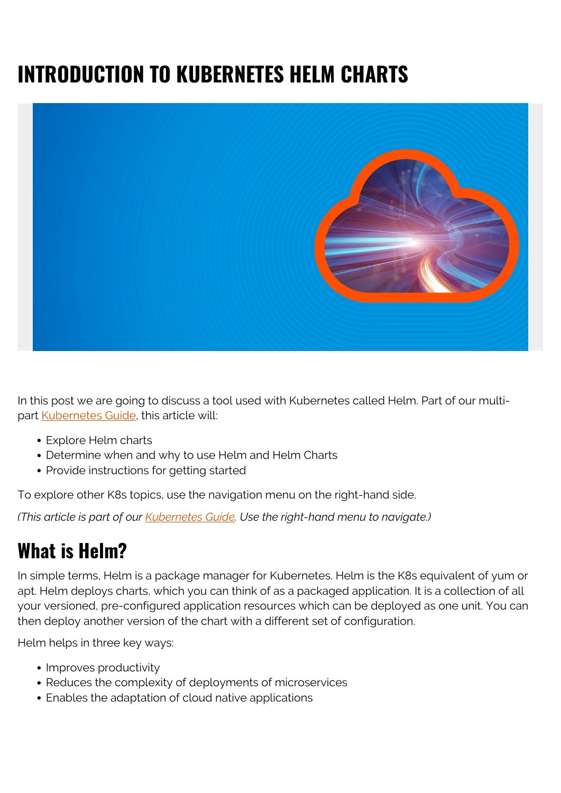# **INTRODUCTION TO KUBERNETES HELM CHARTS**



In this post we are going to discuss a tool used with Kubernetes called Helm. Part of our multipart **[Kubernetes Guide](https://blogs.bmc.com/blogs/kubernetes-basics-tutorial/)**, this article will:

- Explore Helm charts
- Determine when and why to use Helm and Helm Charts
- Provide instructions for getting started

To explore other K8s topics, use the navigation menu on the right-hand side.

*(This article is part of our [Kubernetes Guide](https://blogs.bmc.com/blogs/what-is-kubernetes/). Use the right-hand menu to navigate.)*

### **What is Helm?**

In simple terms, Helm is a package manager for Kubernetes. Helm is the K8s equivalent of yum or apt. Helm deploys charts, which you can think of as a packaged application. It is a collection of all your versioned, pre-configured application resources which can be deployed as one unit. You can then deploy another version of the chart with a different set of configuration.

Helm helps in three key ways:

- Improves productivity
- Reduces the complexity of deployments of microservices
- Enables the adaptation of cloud native applications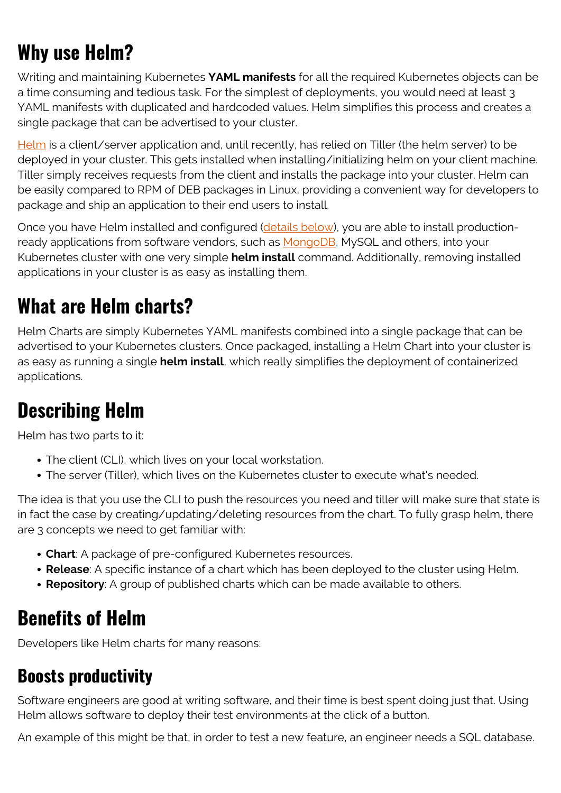## **Why use Helm?**

Writing and maintaining Kubernetes **YAML manifests** for all the required Kubernetes objects can be a time consuming and tedious task. For the simplest of deployments, you would need at least 3 YAML manifests with duplicated and hardcoded values. Helm simplifies this process and creates a single package that can be advertised to your cluster.

[Helm](https://blogs.bmc.com/blogs/kubernetes-helm/) is a client/server application and, until recently, has relied on Tiller (the helm server) to be deployed in your cluster. This gets installed when installing/initializing helm on your client machine. Tiller simply receives requests from the client and installs the package into your cluster. Helm can be easily compared to RPM of DEB packages in Linux, providing a convenient way for developers to package and ship an application to their end users to install.

Once you have Helm installed and configured ([details below](https://blogs.bmc.com/blogs/kubernetes-helm-charts/#_Installing_Helm_and)), you are able to install production-ready applications from software vendors, such as [MongoDB](https://blogs.bmc.com/blogs/mongodb-overview-getting-started-with-mongodb/), MySQL and others, into your Kubernetes cluster with one very simple **helm install** command. Additionally, removing installed applications in your cluster is as easy as installing them.

### **What are Helm charts?**

Helm Charts are simply Kubernetes YAML manifests combined into a single package that can be advertised to your Kubernetes clusters. Once packaged, installing a Helm Chart into your cluster is as easy as running a single **helm install**, which really simplifies the deployment of containerized applications.

# **Describing Helm**

Helm has two parts to it:

- The client (CLI), which lives on your local workstation.
- The server (Tiller), which lives on the Kubernetes cluster to execute what's needed.

The idea is that you use the CLI to push the resources you need and tiller will make sure that state is in fact the case by creating/updating/deleting resources from the chart. To fully grasp helm, there are 3 concepts we need to get familiar with:

- **Chart**: A package of pre-configured Kubernetes resources.
- **Release**: A specific instance of a chart which has been deployed to the cluster using Helm.
- **Repository**: A group of published charts which can be made available to others.

### **Benefits of Helm**

Developers like Helm charts for many reasons:

#### **Boosts productivity**

Software engineers are good at writing software, and their time is best spent doing just that. Using Helm allows software to deploy their test environments at the click of a button.

An example of this might be that, in order to test a new feature, an engineer needs a SQL database.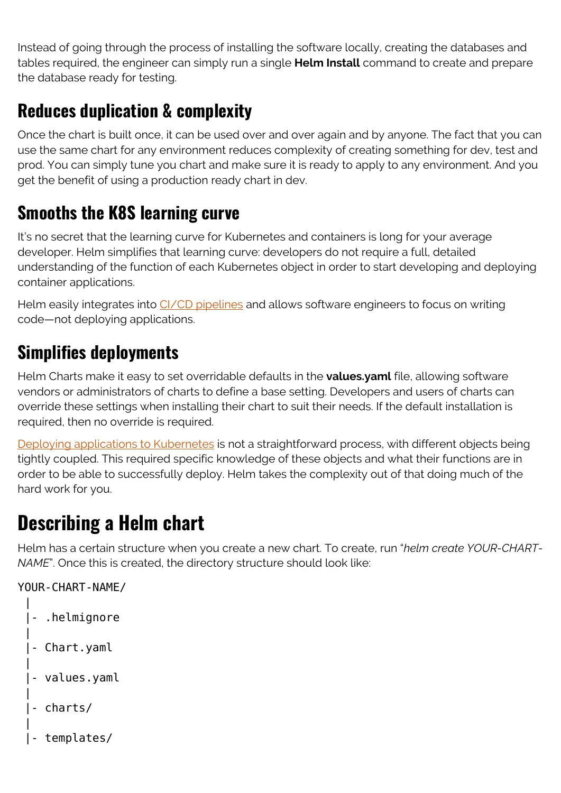Instead of going through the process of installing the software locally, creating the databases and tables required, the engineer can simply run a single **Helm Install** command to create and prepare the database ready for testing.

#### **Reduces duplication & complexity**

Once the chart is built once, it can be used over and over again and by anyone. The fact that you can use the same chart for any environment reduces complexity of creating something for dev, test and prod. You can simply tune you chart and make sure it is ready to apply to any environment. And you get the benefit of using a production ready chart in dev.

#### **Smooths the K8S learning curve**

It's no secret that the learning curve for Kubernetes and containers is long for your average developer. Helm simplifies that learning curve: developers do not require a full, detailed understanding of the function of each Kubernetes object in order to start developing and deploying container applications.

Helm easily integrates into [CI/CD pipelines](https://blogs.bmc.com/blogs/deployment-pipeline/) and allows software engineers to focus on writing code—not deploying applications.

#### **Simplifies deployments**

Helm Charts make it easy to set overridable defaults in the **values.yaml** file, allowing software vendors or administrators of charts to define a base setting. Developers and users of charts can override these settings when installing their chart to suit their needs. If the default installation is required, then no override is required.

[Deploying applications to Kubernetes](https://blogs.bmc.com/blogs/kubernetes-deployment/) is not a straightforward process, with different objects being tightly coupled. This required specific knowledge of these objects and what their functions are in order to be able to successfully deploy. Helm takes the complexity out of that doing much of the hard work for you.

### **Describing a Helm chart**

Helm has a certain structure when you create a new chart. To create, run "*helm create YOUR-CHART-NAME*". Once this is created, the directory structure should look like:

```
YOUR-CHART-NAME/
\blacksquare |- .helmignore
\blacksquare |- Chart.yaml
\blacksquare |- values.yaml
\blacksquare |- charts/
\blacksquare |- templates/
```